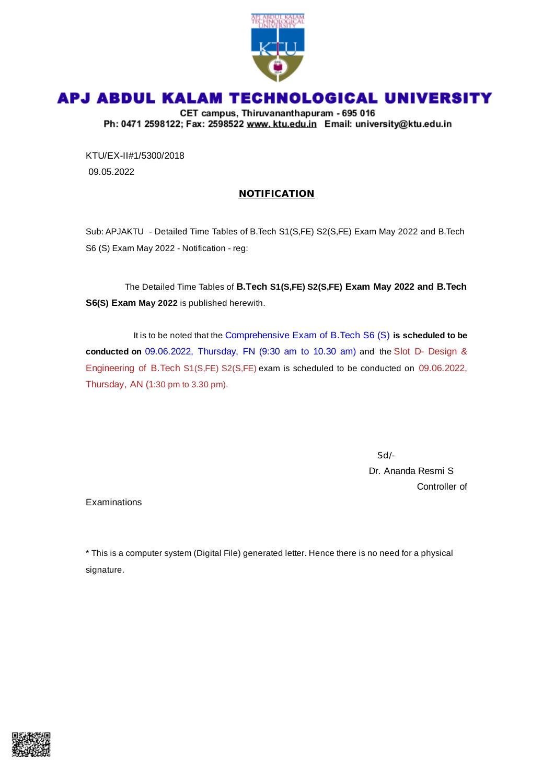

## APJ ABDUL KALAM TECHNOLOGICAL UNIVERSITY

CET campus, Thiruvananthapuram - 695 016 Ph: 0471 2598122; Fax: 2598522 www.ktu.edu.in Email: university@ktu.edu.in

KTU/EX-II#1/5300/2018 09.05.2022

## **NOTIFICATION**

Sub: APJAKTU - Detailed Time Tables of B.Tech S1(S,FE) S2(S,FE) Exam May 2022 and B.Tech S6 (S) Exam May 2022 - Notification - reg:

The Detailed Time Tables of **B.Tech S1(S,FE) S2(S,FE) Exam May 2022 and B.Tech S6(S) Exam May 2022** is published herewith.

It is to be noted that the Comprehensive Exam of B.Tech S6 (S) **is scheduled to be conducted on** 09.06.2022, Thursday, FN (9:30 am to 10.30 am) and the Slot D- Design & Engineering of B.Tech S1(S,FE) S2(S,FE) exam is scheduled to be conducted on 09.06.2022, Thursday, AN (1:30 pm to 3.30 pm).

Sd/-

Dr. Ananda Resmi S Controller of

Examinations

\* This is a computer system (Digital File) generated letter. Hence there is no need for a physical signature.

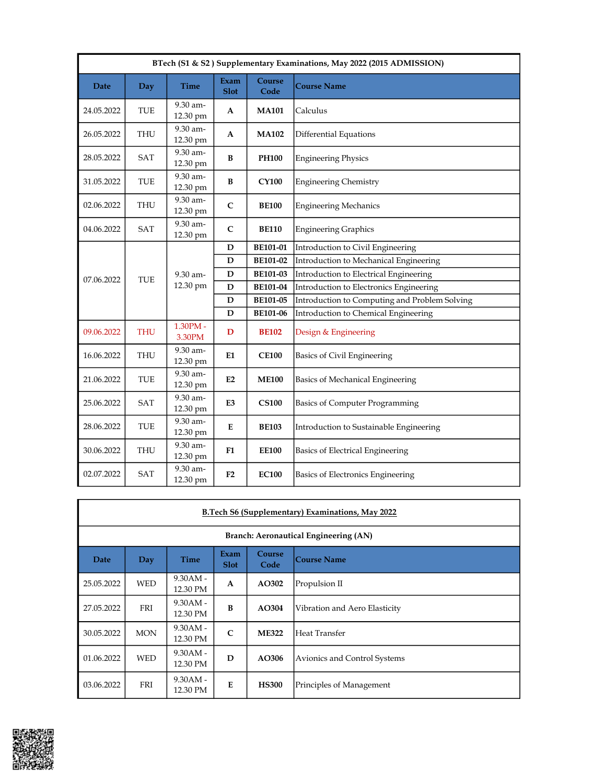| BTech (S1 & S2) Supplementary Examinations, May 2022 (2015 ADMISSION) |            |                       |                     |                 |                                               |  |  |  |
|-----------------------------------------------------------------------|------------|-----------------------|---------------------|-----------------|-----------------------------------------------|--|--|--|
| <b>Date</b>                                                           | Day        | <b>Time</b>           | Exam<br><b>Slot</b> | Course<br>Code  | <b>Course Name</b>                            |  |  |  |
| 24.05.2022                                                            | <b>TUE</b> | 9.30 am-<br>12.30 pm  | $\mathbf{A}$        | <b>MA101</b>    | Calculus                                      |  |  |  |
| 26.05.2022                                                            | THU        | 9.30 am-<br>12.30 pm  | A                   | <b>MA102</b>    | <b>Differential Equations</b>                 |  |  |  |
| 28.05.2022                                                            | SAT        | 9.30 am-<br>12.30 pm  | B                   | <b>PH100</b>    | <b>Engineering Physics</b>                    |  |  |  |
| 31.05.2022                                                            | TUE        | 9.30 am-<br>12.30 pm  | B                   | <b>CY100</b>    | <b>Engineering Chemistry</b>                  |  |  |  |
| 02.06.2022                                                            | <b>THU</b> | 9.30 am-<br>12.30 pm  | $\mathsf{C}$        | <b>BE100</b>    | <b>Engineering Mechanics</b>                  |  |  |  |
| 04.06.2022                                                            | SAT        | 9.30 am-<br>12.30 pm  | $\mathbf C$         | <b>BE110</b>    | <b>Engineering Graphics</b>                   |  |  |  |
|                                                                       |            |                       | ${\bf D}$           | BE101-01        | Introduction to Civil Engineering             |  |  |  |
|                                                                       |            |                       | D                   | BE101-02        | Introduction to Mechanical Engineering        |  |  |  |
| 07.06.2022                                                            | TUE        | 9.30 am-              | ${\bf D}$           | <b>BE101-03</b> | Introduction to Electrical Engineering        |  |  |  |
|                                                                       |            | 12.30 pm              | ${\bf D}$           | <b>BE101-04</b> | Introduction to Electronics Engineering       |  |  |  |
|                                                                       |            |                       | ${\bf D}$           | <b>BE101-05</b> | Introduction to Computing and Problem Solving |  |  |  |
|                                                                       |            |                       | D                   | <b>BE101-06</b> | Introduction to Chemical Engineering          |  |  |  |
| 09.06.2022                                                            | <b>THU</b> | $1.30$ PM -<br>3.30PM | D                   | <b>BE102</b>    | Design & Engineering                          |  |  |  |
| 16.06.2022                                                            | <b>THU</b> | 9.30 am-<br>12.30 pm  | E1                  | <b>CE100</b>    | Basics of Civil Engineering                   |  |  |  |
| 21.06.2022                                                            | TUE        | 9.30 am-<br>12.30 pm  | E2                  | <b>ME100</b>    | Basics of Mechanical Engineering              |  |  |  |
| 25.06.2022                                                            | SAT        | 9.30 am-<br>12.30 pm  | E <sub>3</sub>      | <b>CS100</b>    | <b>Basics of Computer Programming</b>         |  |  |  |
| 28.06.2022                                                            | TUE        | 9.30 am-<br>12.30 pm  | E                   | <b>BE103</b>    | Introduction to Sustainable Engineering       |  |  |  |
| 30.06.2022                                                            | THU        | 9.30 am-<br>12.30 pm  | F1                  | <b>EE100</b>    | Basics of Electrical Engineering              |  |  |  |
| 02.07.2022                                                            | SAT        | 9.30 am-<br>12.30 pm  | F <sub>2</sub>      | <b>EC100</b>    | Basics of Electronics Engineering             |  |  |  |

|                                       | B.Tech S6 (Supplementary) Examinations, May 2022 |                        |                     |                |                               |  |  |  |  |  |  |
|---------------------------------------|--------------------------------------------------|------------------------|---------------------|----------------|-------------------------------|--|--|--|--|--|--|
| Branch: Aeronautical Engineering (AN) |                                                  |                        |                     |                |                               |  |  |  |  |  |  |
| <b>Date</b>                           | Day                                              | <b>Time</b>            | Exam<br><b>Slot</b> | Course<br>Code | Course Name                   |  |  |  |  |  |  |
| 25.05.2022                            | <b>WED</b>                                       | $9.30AM -$<br>12.30 PM | $\mathbf{A}$        | AO302          | Propulsion II                 |  |  |  |  |  |  |
| 27.05.2022                            | <b>FRI</b>                                       | $9.30AM -$<br>12.30 PM | B                   | AO304          | Vibration and Aero Elasticity |  |  |  |  |  |  |
| 30.05.2022                            | <b>MON</b>                                       | $9.30AM -$<br>12.30 PM | $\mathsf{C}$        | <b>ME322</b>   | lHeat Transfer                |  |  |  |  |  |  |
| 01.06.2022                            | <b>WED</b>                                       | $9.30AM -$<br>12.30 PM | D                   | AO306          | Avionics and Control Systems  |  |  |  |  |  |  |
| 03.06.2022                            | FRI                                              | $9.30AM -$<br>12.30 PM | E                   | <b>HS300</b>   | Principles of Management      |  |  |  |  |  |  |

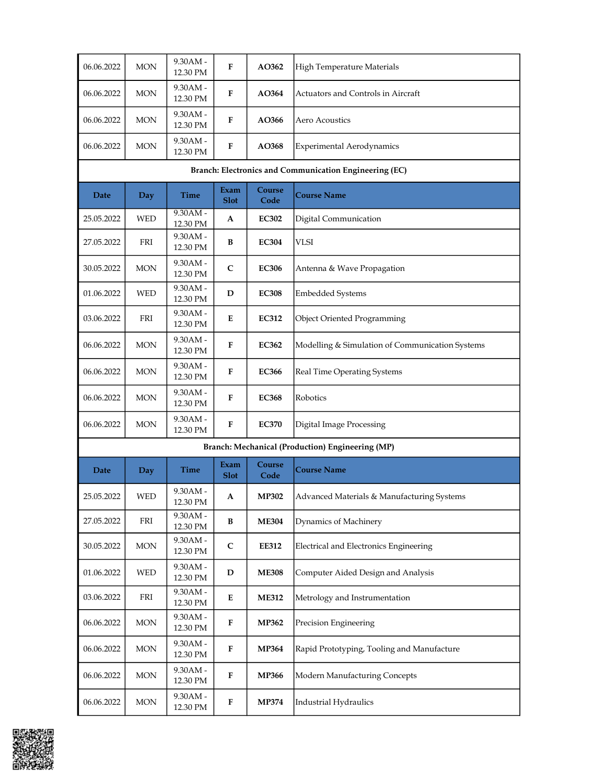| 06.06.2022                                             | <b>MON</b>                  | 9.30AM -<br>12.30 PM             | F                   | AO362          | High Temperature Materials                       |  |  |  |  |
|--------------------------------------------------------|-----------------------------|----------------------------------|---------------------|----------------|--------------------------------------------------|--|--|--|--|
| 06.06.2022                                             | <b>MON</b>                  | 9.30AM -<br>12.30 PM             | F                   | <b>AO364</b>   | Actuators and Controls in Aircraft               |  |  |  |  |
| 06.06.2022                                             | <b>MON</b>                  | $9.30AM -$<br>12.30 PM           | F                   | AO366          | Aero Acoustics                                   |  |  |  |  |
| 06.06.2022                                             | <b>MON</b>                  | $9.30AM -$<br>12.30 PM           | F                   | AO368          | Experimental Aerodynamics                        |  |  |  |  |
| Branch: Electronics and Communication Engineering (EC) |                             |                                  |                     |                |                                                  |  |  |  |  |
| Date                                                   | Day                         | Time                             | Exam<br><b>Slot</b> | Course<br>Code | <b>Course Name</b>                               |  |  |  |  |
| 25.05.2022                                             | WED                         | 9.30AM -<br>12.30 PM             | A                   | <b>EC302</b>   | Digital Communication                            |  |  |  |  |
| 27.05.2022                                             | ${\rm FRI}$                 | 9.30AM -<br>12.30 PM             | B                   | <b>EC304</b>   | <b>VLSI</b>                                      |  |  |  |  |
| 30.05.2022                                             | <b>MON</b>                  | 9.30AM -<br>12.30 PM             | $\mathsf{C}$        | <b>EC306</b>   | Antenna & Wave Propagation                       |  |  |  |  |
| 01.06.2022                                             | <b>WED</b>                  | $9.30AM -$<br>12.30 PM           | D                   | <b>EC308</b>   | <b>Embedded Systems</b>                          |  |  |  |  |
| 03.06.2022                                             | FRI                         | 9.30AM -<br>12.30 PM             | Е                   | <b>EC312</b>   | <b>Object Oriented Programming</b>               |  |  |  |  |
| 06.06.2022                                             | <b>MON</b>                  | 9.30AM -<br>12.30 PM             | F                   | <b>EC362</b>   | Modelling & Simulation of Communication Systems  |  |  |  |  |
| 06.06.2022                                             | <b>MON</b>                  | 9.30AM -<br>12.30 PM             | F                   | <b>EC366</b>   | Real Time Operating Systems                      |  |  |  |  |
| 06.06.2022                                             | <b>MON</b>                  | 9.30AM -<br>12.30 PM             | F                   | <b>EC368</b>   | Robotics                                         |  |  |  |  |
| 06.06.2022                                             | MON                         | $9.30AM -$<br>12.30 PM           | F                   | <b>EC370</b>   | Digital Image Processing                         |  |  |  |  |
|                                                        |                             |                                  |                     |                | Branch: Mechanical (Production) Engineering (MP) |  |  |  |  |
| Date                                                   | Day                         | Time                             | Exam<br><b>Slot</b> | Course<br>Code | <b>Course Name</b>                               |  |  |  |  |
| 25.05.2022                                             | WED                         | $9.30AM -$<br>12.30 PM           | A                   | <b>MP302</b>   | Advanced Materials & Manufacturing Systems       |  |  |  |  |
| 27.05.2022                                             | FRI                         | 9.30AM -<br>12.30 PM             | B                   | <b>ME304</b>   | Dynamics of Machinery                            |  |  |  |  |
| 30.05.2022                                             | <b>MON</b>                  | 9.30AM -<br>12.30 PM             | $\mathbf C$         | <b>EE312</b>   | Electrical and Electronics Engineering           |  |  |  |  |
| 01.06.2022                                             | $\ensuremath{\mathsf{WED}}$ | 9.30AM -<br>12.30 PM             | D                   | <b>ME308</b>   | Computer Aided Design and Analysis               |  |  |  |  |
| 03.06.2022                                             | FRI                         | 9.30AM -<br>12.30 PM             | Е                   | <b>ME312</b>   | Metrology and Instrumentation                    |  |  |  |  |
| 06.06.2022                                             | MON                         | 9.30AM -<br>12.30 PM             | ${\bf F}$           | <b>MP362</b>   | Precision Engineering                            |  |  |  |  |
| 06.06.2022                                             | MON                         | 9.30AM -<br>12.30 PM             | ${\bf F}$           | <b>MP364</b>   | Rapid Prototyping, Tooling and Manufacture       |  |  |  |  |
| 06.06.2022                                             | MON                         | 9.30AM -<br>12.30 PM             | ${\bf F}$           | <b>MP366</b>   | Modern Manufacturing Concepts                    |  |  |  |  |
| 06.06.2022                                             | MON                         | 9.30AM -<br>$12.30\;\mathrm{PM}$ | F                   | <b>MP374</b>   | Industrial Hydraulics                            |  |  |  |  |

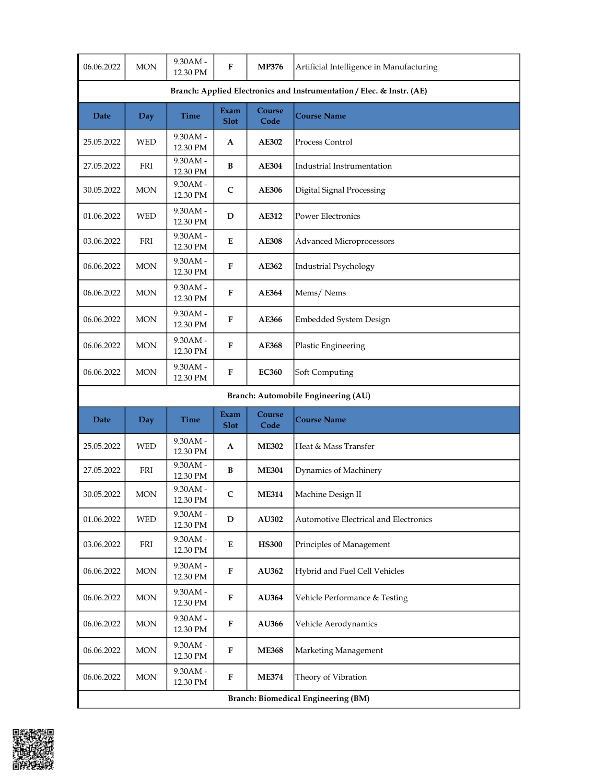| 06.06.2022                                                            | <b>MON</b> | 9.30AM -<br>12.30 PM   | F                   | <b>MP376</b>   | Artificial Intelligence in Manufacturing |  |  |  |
|-----------------------------------------------------------------------|------------|------------------------|---------------------|----------------|------------------------------------------|--|--|--|
| Branch: Applied Electronics and Instrumentation / Elec. & Instr. (AE) |            |                        |                     |                |                                          |  |  |  |
| Date                                                                  | Day        | Time                   | Exam<br><b>Slot</b> | Course<br>Code | <b>Course Name</b>                       |  |  |  |
| 25.05.2022                                                            | WED        | 9.30AM -<br>12.30 PM   | A                   | <b>AE302</b>   | Process Control                          |  |  |  |
| 27.05.2022                                                            | FRI        | 9.30AM -<br>12.30 PM   | B                   | <b>AE304</b>   | Industrial Instrumentation               |  |  |  |
| 30.05.2022                                                            | <b>MON</b> | 9.30AM -<br>12.30 PM   | $\mathsf{C}$        | <b>AE306</b>   | Digital Signal Processing                |  |  |  |
| 01.06.2022                                                            | <b>WED</b> | 9.30AM -<br>12.30 PM   | D                   | AE312          | Power Electronics                        |  |  |  |
| 03.06.2022                                                            | FRI        | 9.30AM -<br>12.30 PM   | E                   | <b>AE308</b>   | <b>Advanced Microprocessors</b>          |  |  |  |
| 06.06.2022                                                            | $\rm{MON}$ | 9.30AM -<br>12.30 PM   | $\mathbf{F}$        | AE362          | <b>Industrial Psychology</b>             |  |  |  |
| 06.06.2022                                                            | <b>MON</b> | 9.30AM -<br>12.30 PM   | F                   | AE364          | Mems/Nems                                |  |  |  |
| 06.06.2022                                                            | <b>MON</b> | 9.30AM -<br>12.30 PM   | F                   | <b>AE366</b>   | Embedded System Design                   |  |  |  |
| 06.06.2022                                                            | <b>MON</b> | 9.30AM -<br>12.30 PM   | F                   | AE368          | Plastic Engineering                      |  |  |  |
| 06.06.2022                                                            | <b>MON</b> | 9.30AM -<br>12.30 PM   | F                   | <b>EC360</b>   | Soft Computing                           |  |  |  |
|                                                                       |            |                        |                     |                | Branch: Automobile Engineering (AU)      |  |  |  |
| Date                                                                  | <b>Day</b> | Time                   | Exam<br><b>Slot</b> | Course<br>Code | <b>Course Name</b>                       |  |  |  |
| 25.05.2022                                                            | <b>WED</b> | 9.30AM -<br>12.30 PM   | A                   | <b>ME302</b>   | Heat & Mass Transfer                     |  |  |  |
| 27.05.2022                                                            | FRI        | 9.30AM -<br>12.30 PM   | B                   | <b>ME304</b>   | Dynamics of Machinery                    |  |  |  |
| 30.05.2022                                                            | <b>MON</b> | 9.30AM -<br>12.30 PM   | C                   | <b>ME314</b>   | Machine Design II                        |  |  |  |
| 01.06.2022                                                            | WED        | 9.30AM -<br>12.30 PM   | D                   | AU302          | Automotive Electrical and Electronics    |  |  |  |
| 03.06.2022                                                            | FRI        | 9.30AM -<br>12.30 PM   | E                   | <b>HS300</b>   | Principles of Management                 |  |  |  |
| 06.06.2022                                                            | $\rm{MON}$ | $9.30AM -$<br>12.30 PM | F                   | AU362          | Hybrid and Fuel Cell Vehicles            |  |  |  |
| 06.06.2022                                                            | <b>MON</b> | $9.30AM -$<br>12.30 PM | F                   | AU364          | Vehicle Performance & Testing            |  |  |  |
| 06.06.2022                                                            | $\rm{MON}$ | 9.30AM -<br>12.30 PM   | ${\bf F}$           | AU366          | Vehicle Aerodynamics                     |  |  |  |
| 06.06.2022                                                            | <b>MON</b> | 9.30AM -<br>12.30 PM   | ${\bf F}$           | <b>ME368</b>   | Marketing Management                     |  |  |  |
| 06.06.2022                                                            | <b>MON</b> | 9.30AM -<br>12.30 PM   | ${\bf F}$           | <b>ME374</b>   | Theory of Vibration                      |  |  |  |
| <b>Branch: Biomedical Engineering (BM)</b>                            |            |                        |                     |                |                                          |  |  |  |

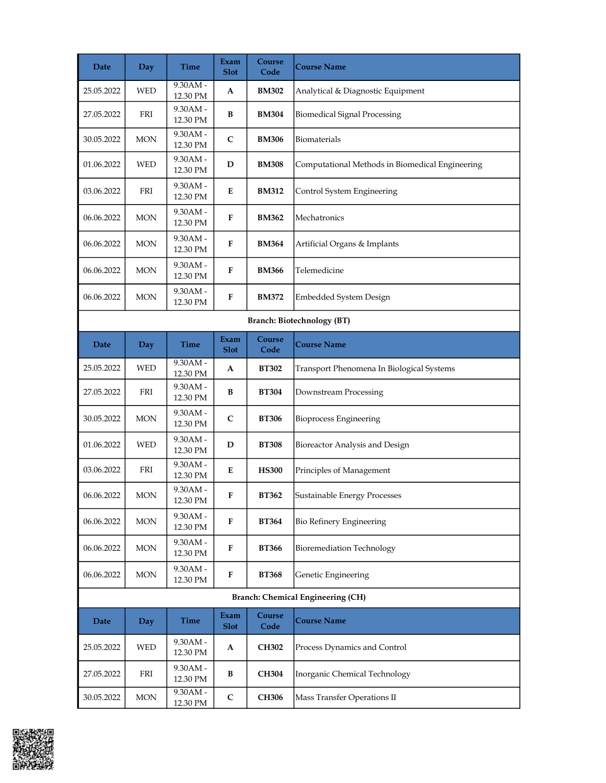| Date       | Day        | Time                   | Exam<br><b>Slot</b> | <b>Course</b><br>Code | <b>Course Name</b>                              |
|------------|------------|------------------------|---------------------|-----------------------|-------------------------------------------------|
| 25.05.2022 | <b>WED</b> | 9.30AM -<br>12.30 PM   | A                   | <b>BM302</b>          | Analytical & Diagnostic Equipment               |
| 27.05.2022 | FRI        | 9.30AM -<br>12.30 PM   | B                   | <b>BM304</b>          | <b>Biomedical Signal Processing</b>             |
| 30.05.2022 | <b>MON</b> | 9.30AM -<br>12.30 PM   | $\mathbf C$         | <b>BM306</b>          | Biomaterials                                    |
| 01.06.2022 | <b>WED</b> | 9.30AM -<br>12.30 PM   | D                   | <b>BM308</b>          | Computational Methods in Biomedical Engineering |
| 03.06.2022 | FRI        | $9.30AM -$<br>12.30 PM | E                   | <b>BM312</b>          | Control System Engineering                      |
| 06.06.2022 | MON        | 9.30AM -<br>12.30 PM   | F                   | <b>BM362</b>          | Mechatronics                                    |
| 06.06.2022 | <b>MON</b> | 9.30AM -<br>12.30 PM   | ${\bf F}$           | <b>BM364</b>          | Artificial Organs & Implants                    |
| 06.06.2022 | <b>MON</b> | 9.30AM -<br>12.30 PM   | F                   | <b>BM366</b>          | Telemedicine                                    |
| 06.06.2022 | <b>MON</b> | 9.30AM -<br>12.30 PM   | F                   | <b>BM372</b>          | Embedded System Design                          |
|            |            |                        |                     |                       | <b>Branch: Biotechnology (BT)</b>               |
| Date       | <b>Day</b> | Time                   | Exam<br><b>Slot</b> | Course<br>Code        | <b>Course Name</b>                              |
| 25.05.2022 | <b>WED</b> | 9.30AM -<br>12.30 PM   | A                   | <b>BT302</b>          | Transport Phenomena In Biological Systems       |
| 27.05.2022 | FRI        | 9.30AM -<br>12.30 PM   | B                   | <b>BT304</b>          | Downstream Processing                           |
| 30.05.2022 | <b>MON</b> | 9.30AM -<br>12.30 PM   | $\mathsf{C}$        | <b>BT306</b>          | <b>Bioprocess Engineering</b>                   |
| 01.06.2022 | <b>WED</b> | 9.30AM -<br>12.30 PM   | D                   | <b>BT308</b>          | Bioreactor Analysis and Design                  |
| 03.06.2022 | FRI        | 9.30AM -<br>12.30 PM   | E                   | <b>HS300</b>          | Principles of Management                        |
| 06.06.2022 | <b>MON</b> | 9.30AM -<br>12.30 PM   | F                   | <b>BT362</b>          | Sustainable Energy Processes                    |
| 06.06.2022 | <b>MON</b> | 9.30AM -<br>12.30 PM   | F                   | <b>BT364</b>          | Bio Refinery Engineering                        |
| 06.06.2022 | <b>MON</b> | 9.30AM -<br>12.30 PM   | F                   | <b>BT366</b>          | <b>Bioremediation Technology</b>                |
| 06.06.2022 | MON        | 9.30AM -<br>12.30 PM   | ${\bf F}$           | <b>BT368</b>          | Genetic Engineering                             |
|            |            |                        |                     |                       | <b>Branch: Chemical Engineering (CH)</b>        |
| Date       | <b>Day</b> | Time                   | Exam<br><b>Slot</b> | Course<br>Code        | <b>Course Name</b>                              |
| 25.05.2022 | WED        | 9.30AM -<br>12.30 PM   | A                   | <b>CH302</b>          | Process Dynamics and Control                    |
| 27.05.2022 | FRI        | 9.30AM -<br>12.30 PM   | B                   | <b>CH304</b>          | Inorganic Chemical Technology                   |
| 30.05.2022 | <b>MON</b> | 9.30AM -<br>12.30 PM   | $\mathsf{C}$        | CH306                 | Mass Transfer Operations II                     |

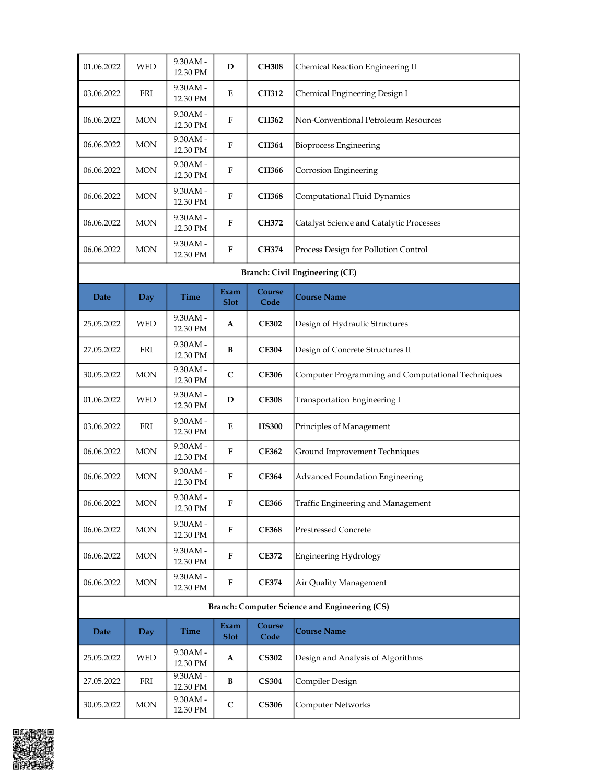| 01.06.2022 | <b>WED</b> | 9.30AM -<br>12.30 PM   | D                   | <b>CH308</b>   | Chemical Reaction Engineering II                  |
|------------|------------|------------------------|---------------------|----------------|---------------------------------------------------|
| 03.06.2022 | FRI        | 9.30AM -<br>12.30 PM   | E                   | <b>CH312</b>   | Chemical Engineering Design I                     |
| 06.06.2022 | <b>MON</b> | 9.30AM -<br>12.30 PM   | F                   | <b>CH362</b>   | Non-Conventional Petroleum Resources              |
| 06.06.2022 | <b>MON</b> | 9.30AM -<br>12.30 PM   | F                   | <b>CH364</b>   | <b>Bioprocess Engineering</b>                     |
| 06.06.2022 | <b>MON</b> | 9.30AM -<br>12.30 PM   | F                   | CH366          | Corrosion Engineering                             |
| 06.06.2022 | <b>MON</b> | $9.30AM -$<br>12.30 PM | F                   | <b>CH368</b>   | Computational Fluid Dynamics                      |
| 06.06.2022 | MON        | 9.30AM -<br>12.30 PM   | F                   | <b>CH372</b>   | Catalyst Science and Catalytic Processes          |
| 06.06.2022 | <b>MON</b> | 9.30AM -<br>12.30 PM   | F                   | <b>CH374</b>   | Process Design for Pollution Control              |
|            |            |                        |                     |                | <b>Branch: Civil Engineering (CE)</b>             |
| Date       | Day        | Time                   | Exam<br><b>Slot</b> | Course<br>Code | <b>Course Name</b>                                |
| 25.05.2022 | <b>WED</b> | 9.30AM -<br>12.30 PM   | A                   | <b>CE302</b>   | Design of Hydraulic Structures                    |
| 27.05.2022 | FRI        | 9.30AM -<br>12.30 PM   | B                   | <b>CE304</b>   | Design of Concrete Structures II                  |
| 30.05.2022 | <b>MON</b> | 9.30AM -<br>12.30 PM   | C                   | <b>CE306</b>   | Computer Programming and Computational Techniques |
| 01.06.2022 | <b>WED</b> | 9.30AM -<br>12.30 PM   | D                   | <b>CE308</b>   | Transportation Engineering I                      |
| 03.06.2022 | FRI        | 9.30AM -<br>12.30 PM   | Е                   | <b>HS300</b>   | Principles of Management                          |
| 06.06.2022 | <b>MON</b> | 9.30AM -<br>12.30 PM   | F                   | <b>CE362</b>   | Ground Improvement Techniques                     |
| 06.06.2022 | <b>MON</b> | 9.30AM -<br>12.30 PM   | F                   | <b>CE364</b>   | Advanced Foundation Engineering                   |
| 06.06.2022 | $\rm{MON}$ | 9.30AM -<br>12.30 PM   | ${\bf F}$           | <b>CE366</b>   | Traffic Engineering and Management                |
| 06.06.2022 | $\rm{MON}$ | 9.30AM -<br>12.30 PM   | ${\bf F}$           | <b>CE368</b>   | Prestressed Concrete                              |
| 06.06.2022 | MON        | 9.30AM -<br>12.30 PM   | F                   | <b>CE372</b>   | <b>Engineering Hydrology</b>                      |
| 06.06.2022 | $\rm{MON}$ | $9.30AM -$<br>12.30 PM | F                   | <b>CE374</b>   | Air Quality Management                            |
|            |            |                        |                     |                | Branch: Computer Science and Engineering (CS)     |
| Date       | Day        | Time                   | Exam<br><b>Slot</b> | Course<br>Code | <b>Course Name</b>                                |
| 25.05.2022 | <b>WED</b> | 9.30AM -<br>12.30 PM   | A                   | <b>CS302</b>   | Design and Analysis of Algorithms                 |
| 27.05.2022 | FRI        | 9.30AM -<br>12.30 PM   | B                   | <b>CS304</b>   | Compiler Design                                   |
| 30.05.2022 | MON        | 9.30AM -<br>12.30 PM   | ${\bf C}$           | <b>CS306</b>   | <b>Computer Networks</b>                          |

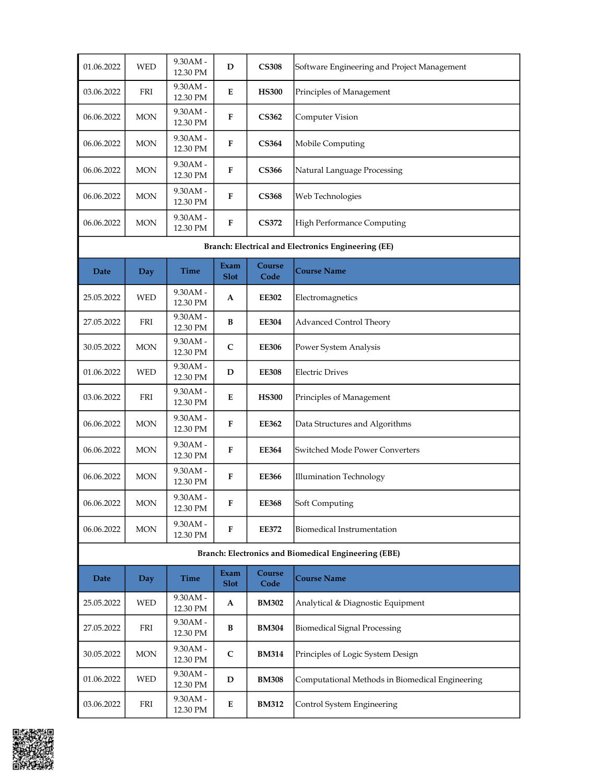| 01.06.2022 | <b>WED</b> | $9.30AM -$<br>12.30 PM | D            | <b>CS308</b> | Software Engineering and Project Management |
|------------|------------|------------------------|--------------|--------------|---------------------------------------------|
| 03.06.2022 | <b>FRI</b> | $9.30AM -$<br>12.30 PM | E            | <b>HS300</b> | Principles of Management                    |
| 06.06.2022 | <b>MON</b> | $9.30AM -$<br>12.30 PM | F            | <b>CS362</b> | Computer Vision                             |
| 06.06.2022 | <b>MON</b> | $9.30AM -$<br>12.30 PM | F            | <b>CS364</b> | Mobile Computing                            |
| 06.06.2022 | <b>MON</b> | $9.30AM -$<br>12.30 PM | $\mathbf{F}$ | <b>CS366</b> | Natural Language Processing                 |
| 06.06.2022 | <b>MON</b> | $9.30AM -$<br>12.30 PM | $\mathbf{F}$ | <b>CS368</b> | Web Technologies                            |
| 06.06.2022 | <b>MON</b> | $9.30AM -$<br>12.30 PM | F            | <b>CS372</b> | High Performance Computing                  |

## Branch: Electrical and Electronics Engineering (EE)

| Date       | <b>Day</b> | <b>Time</b>            | Exam<br><b>Slot</b> | Course<br>Code | <b>Course Name</b>             |
|------------|------------|------------------------|---------------------|----------------|--------------------------------|
| 25.05.2022 | <b>WED</b> | $9.30AM -$<br>12.30 PM | $\mathbf{A}$        | <b>EE302</b>   | Electromagnetics               |
| 27.05.2022 | <b>FRI</b> | $9.30AM -$<br>12.30 PM | B                   | <b>EE304</b>   | Advanced Control Theory        |
| 30.05.2022 | <b>MON</b> | $9.30AM -$<br>12.30 PM | $\mathsf{C}$        | <b>EE306</b>   | Power System Analysis          |
| 01.06.2022 | <b>WED</b> | $9.30AM -$<br>12.30 PM | D                   | <b>EE308</b>   | <b>Electric Drives</b>         |
| 03.06.2022 | FRI        | $9.30AM -$<br>12.30 PM | E                   | <b>HS300</b>   | Principles of Management       |
| 06.06.2022 | <b>MON</b> | $9.30AM -$<br>12.30 PM | F                   | <b>EE362</b>   | Data Structures and Algorithms |
| 06.06.2022 | <b>MON</b> | $9.30AM -$<br>12.30 PM | F                   | <b>EE364</b>   | Switched Mode Power Converters |
| 06.06.2022 | <b>MON</b> | $9.30AM -$<br>12.30 PM | F                   | <b>EE366</b>   | Illumination Technology        |
| 06.06.2022 | <b>MON</b> | $9.30AM -$<br>12.30 PM | F                   | <b>EE368</b>   | Soft Computing                 |
| 06.06.2022 | <b>MON</b> | $9.30AM -$<br>12.30 PM | F                   | <b>EE372</b>   | Biomedical Instrumentation     |

## Branch: Electronics and Biomedical Engineering (EBE)

| Date       | Day        | <b>Time</b>            | <b>Exam</b><br><b>Slot</b> | Course<br>Code | <b>Course Name</b>                              |
|------------|------------|------------------------|----------------------------|----------------|-------------------------------------------------|
| 25.05.2022 | <b>WED</b> | $9.30AM -$<br>12.30 PM | A                          | <b>BM302</b>   | Analytical & Diagnostic Equipment               |
| 27.05.2022 | <b>FRI</b> | $9.30AM -$<br>12.30 PM | B                          | <b>BM304</b>   | Biomedical Signal Processing                    |
| 30.05.2022 | <b>MON</b> | $9.30AM -$<br>12.30 PM | $\mathsf{C}$               | <b>BM314</b>   | Principles of Logic System Design               |
| 01.06.2022 | <b>WED</b> | $9.30AM -$<br>12.30 PM | D                          | <b>BM308</b>   | Computational Methods in Biomedical Engineering |
| 03.06.2022 | FRI        | $9.30AM -$<br>12.30 PM | E                          | <b>BM312</b>   | Control System Engineering                      |

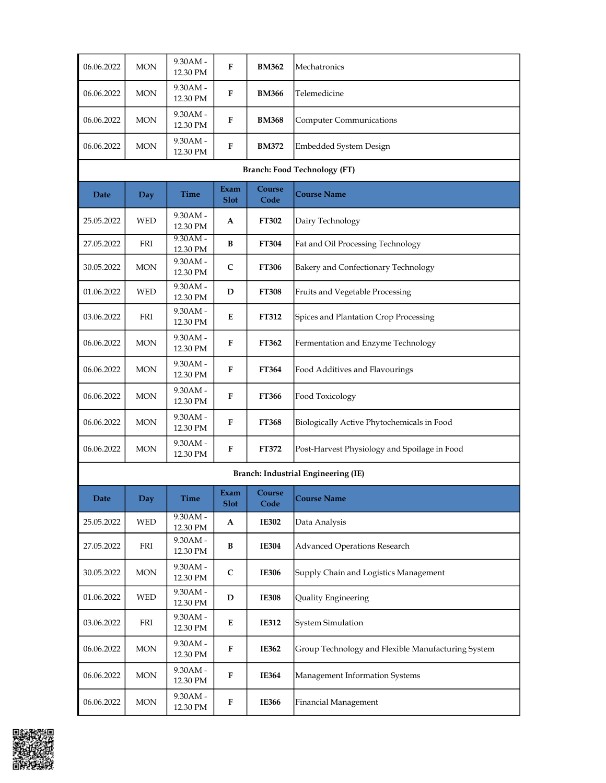| 06.06.2022                          | <b>MON</b> | $9.30AM$ - $\,$<br>12.30 PM | F                   | <b>BM362</b>   | Mechatronics                                       |  |  |  |  |
|-------------------------------------|------------|-----------------------------|---------------------|----------------|----------------------------------------------------|--|--|--|--|
| 06.06.2022                          | <b>MON</b> | 9.30AM -<br>12.30 PM        | F                   | <b>BM366</b>   | Telemedicine                                       |  |  |  |  |
| 06.06.2022                          | <b>MON</b> | 9.30AM -<br>12.30 PM        | F                   | <b>BM368</b>   | <b>Computer Communications</b>                     |  |  |  |  |
| 06.06.2022                          | <b>MON</b> | 9.30AM -<br>12.30 PM        | F                   | <b>BM372</b>   | Embedded System Design                             |  |  |  |  |
| <b>Branch: Food Technology (FT)</b> |            |                             |                     |                |                                                    |  |  |  |  |
| Date                                | Day        | Time                        | Exam<br><b>Slot</b> | Course<br>Code | <b>Course Name</b>                                 |  |  |  |  |
| 25.05.2022                          | <b>WED</b> | $9.30AM -$<br>12.30 PM      | A                   | FT302          | Dairy Technology                                   |  |  |  |  |
| 27.05.2022                          | FRI        | $9.30AM -$<br>12.30 PM      | B                   | <b>FT304</b>   | Fat and Oil Processing Technology                  |  |  |  |  |
| 30.05.2022                          | <b>MON</b> | 9.30AM -<br>12.30 PM        | $\mathbf C$         | <b>FT306</b>   | Bakery and Confectionary Technology                |  |  |  |  |
| 01.06.2022                          | <b>WED</b> | $9.30AM -$<br>12.30 PM      | D                   | <b>FT308</b>   | Fruits and Vegetable Processing                    |  |  |  |  |
| 03.06.2022                          | FRI        | $9.30AM -$<br>12.30 PM      | Е                   | FT312          | Spices and Plantation Crop Processing              |  |  |  |  |
| 06.06.2022                          | <b>MON</b> | $9.30AM -$<br>12.30 PM      | F                   | FT362          | Fermentation and Enzyme Technology                 |  |  |  |  |
| 06.06.2022                          | <b>MON</b> | 9.30AM -<br>12.30 PM        | F                   | <b>FT364</b>   | Food Additives and Flavourings                     |  |  |  |  |
| 06.06.2022                          | <b>MON</b> | 9.30AM -<br>12.30 PM        | F                   | FT366          | Food Toxicology                                    |  |  |  |  |
| 06.06.2022                          | <b>MON</b> | 9.30AM -<br>12.30 PM        | F                   | <b>FT368</b>   | Biologically Active Phytochemicals in Food         |  |  |  |  |
| 06.06.2022                          | <b>MON</b> | $9.30AM -$<br>12.30 PM      | F                   | FT372          | Post-Harvest Physiology and Spoilage in Food       |  |  |  |  |
|                                     |            |                             |                     |                | Branch: Industrial Engineering (IE)                |  |  |  |  |
| Date                                | Day        | Time                        | Exam<br><b>Slot</b> | Course<br>Code | <b>Course Name</b>                                 |  |  |  |  |
| 25.05.2022                          | <b>WED</b> | 9.30AM -<br>12.30 PM        | A                   | <b>IE302</b>   | Data Analysis                                      |  |  |  |  |
| 27.05.2022                          | FRI        | 9.30AM -<br>12.30 PM        | B                   | <b>IE304</b>   | Advanced Operations Research                       |  |  |  |  |
| 30.05.2022                          | <b>MON</b> | 9.30AM -<br>12.30 PM        | $\mathbf C$         | <b>IE306</b>   | Supply Chain and Logistics Management              |  |  |  |  |
| 01.06.2022                          | <b>WED</b> | 9.30AM -<br>12.30 PM        | D                   | <b>IE308</b>   | Quality Engineering                                |  |  |  |  |
| 03.06.2022                          | FRI        | 9.30AM -<br>12.30 PM        | ${\bf E}$           | <b>IE312</b>   | <b>System Simulation</b>                           |  |  |  |  |
| 06.06.2022                          | <b>MON</b> | 9.30AM -<br>12.30 PM        | ${\bf F}$           | <b>IE362</b>   | Group Technology and Flexible Manufacturing System |  |  |  |  |
| 06.06.2022                          | <b>MON</b> | 9.30AM -<br>12.30 PM        | F                   | <b>IE364</b>   | Management Information Systems                     |  |  |  |  |
| 06.06.2022                          | <b>MON</b> | 9.30AM -<br>12.30 PM        | F                   | <b>IE366</b>   | Financial Management                               |  |  |  |  |

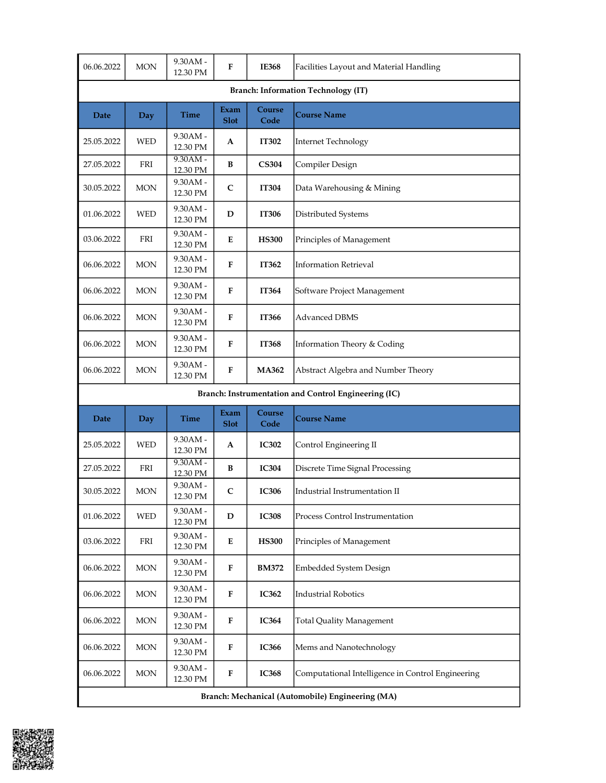| 06.06.2022                                           | <b>MON</b> | 9.30AM -<br>12.30 PM   | F                   | <b>IE368</b>   | Facilities Layout and Material Handling           |  |  |  |
|------------------------------------------------------|------------|------------------------|---------------------|----------------|---------------------------------------------------|--|--|--|
| <b>Branch: Information Technology (IT)</b>           |            |                        |                     |                |                                                   |  |  |  |
| Date                                                 | Day        | <b>Time</b>            | Exam<br><b>Slot</b> | Course<br>Code | <b>Course Name</b>                                |  |  |  |
| 25.05.2022                                           | WED        | 9.30AM -<br>12.30 PM   | A                   | <b>IT302</b>   | <b>Internet Technology</b>                        |  |  |  |
| 27.05.2022                                           | FRI        | $9.30AM -$<br>12.30 PM | B                   | <b>CS304</b>   | Compiler Design                                   |  |  |  |
| 30.05.2022                                           | MON        | 9.30AM -<br>12.30 PM   | $\mathsf{C}$        | <b>IT304</b>   | Data Warehousing & Mining                         |  |  |  |
| 01.06.2022                                           | WED        | 9.30AM -<br>12.30 PM   | D                   | <b>IT306</b>   | Distributed Systems                               |  |  |  |
| 03.06.2022                                           | FRI        | 9.30AM -<br>12.30 PM   | E                   | <b>HS300</b>   | Principles of Management                          |  |  |  |
| 06.06.2022                                           | <b>MON</b> | 9.30AM -<br>12.30 PM   | F                   | IT362          | <b>Information Retrieval</b>                      |  |  |  |
| 06.06.2022                                           | <b>MON</b> | 9.30AM -<br>12.30 PM   | F                   | IT364          | Software Project Management                       |  |  |  |
| 06.06.2022                                           | <b>MON</b> | 9.30AM -<br>12.30 PM   | F                   | IT366          | <b>Advanced DBMS</b>                              |  |  |  |
| 06.06.2022                                           | <b>MON</b> | 9.30AM -<br>12.30 PM   | F                   | <b>IT368</b>   | Information Theory & Coding                       |  |  |  |
| 06.06.2022                                           | <b>MON</b> | 9.30AM -<br>12.30 PM   | F                   | <b>MA362</b>   | Abstract Algebra and Number Theory                |  |  |  |
| Branch: Instrumentation and Control Engineering (IC) |            |                        |                     |                |                                                   |  |  |  |
|                                                      |            |                        |                     |                |                                                   |  |  |  |
| Date                                                 | Day        | Time                   | Exam<br><b>Slot</b> | Course<br>Code | <b>Course Name</b>                                |  |  |  |
| 25.05.2022                                           | <b>WED</b> | 9.30AM -<br>12.30 PM   | A                   | <b>IC302</b>   | Control Engineering II                            |  |  |  |
| 27.05.2022                                           | FRI        | $9.30AM -$<br>12.30 PM | B                   | <b>IC304</b>   | Discrete Time Signal Processing                   |  |  |  |
| 30.05.2022                                           | MON        | 9.30AM -<br>12.30 PM   | $\mathsf{C}$        | <b>IC306</b>   | Industrial Instrumentation II                     |  |  |  |
| 01.06.2022                                           | WED        | 9.30AM -<br>12.30 PM   | D                   | <b>IC308</b>   | Process Control Instrumentation                   |  |  |  |
| 03.06.2022                                           | FRI        | 9.30AM -<br>12.30 PM   | E                   | <b>HS300</b>   | Principles of Management                          |  |  |  |
| 06.06.2022                                           | <b>MON</b> | 9.30AM -<br>12.30 PM   | F                   | <b>BM372</b>   | Embedded System Design                            |  |  |  |
| 06.06.2022                                           | $\rm{MON}$ | 9.30AM -<br>12.30 PM   | F                   | <b>IC362</b>   | <b>Industrial Robotics</b>                        |  |  |  |
| 06.06.2022                                           | <b>MON</b> | 9.30AM -<br>12.30 PM   | ${\bf F}$           | <b>IC364</b>   | <b>Total Quality Management</b>                   |  |  |  |
| 06.06.2022                                           | $\rm{MON}$ | 9.30AM -<br>12.30 PM   | ${\bf F}$           | <b>IC366</b>   | Mems and Nanotechnology                           |  |  |  |
| 06.06.2022                                           | <b>MON</b> | 9.30AM -<br>12.30 PM   | ${\bf F}$           | <b>IC368</b>   | Computational Intelligence in Control Engineering |  |  |  |

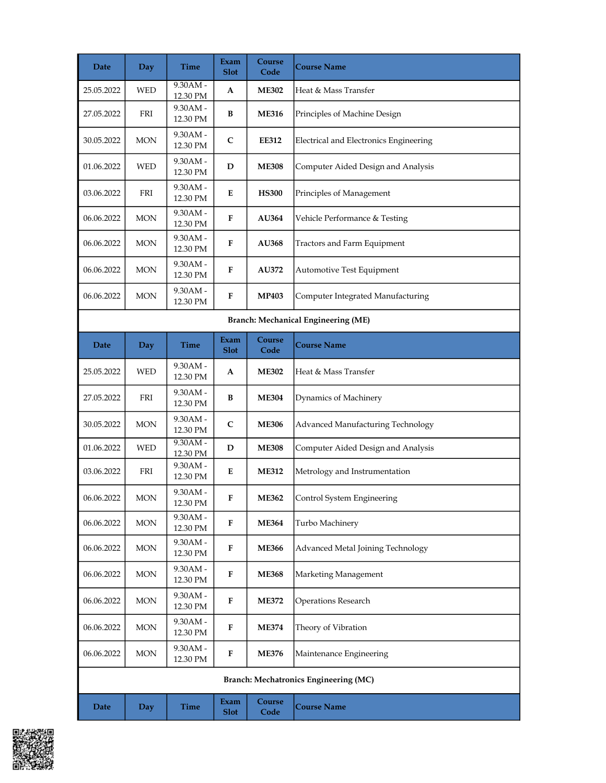| Date                                       | <b>Day</b> | Time                   | Exam<br><b>Slot</b>        | Course<br>Code | <b>Course Name</b>                     |  |  |  |
|--------------------------------------------|------------|------------------------|----------------------------|----------------|----------------------------------------|--|--|--|
| 25.05.2022                                 | <b>WED</b> | $9.30AM -$<br>12.30 PM | A                          | <b>ME302</b>   | Heat & Mass Transfer                   |  |  |  |
| 27.05.2022                                 | FRI        | 9.30AM -<br>12.30 PM   | B                          | <b>ME316</b>   | Principles of Machine Design           |  |  |  |
| 30.05.2022                                 | MON        | 9.30AM -<br>12.30 PM   | $\mathsf{C}$               | <b>EE312</b>   | Electrical and Electronics Engineering |  |  |  |
| 01.06.2022                                 | <b>WED</b> | 9.30AM -<br>12.30 PM   | D                          | <b>ME308</b>   | Computer Aided Design and Analysis     |  |  |  |
| 03.06.2022                                 | FRI        | 9.30AM -<br>12.30 PM   | E                          | <b>HS300</b>   | Principles of Management               |  |  |  |
| 06.06.2022                                 | <b>MON</b> | 9.30AM -<br>12.30 PM   | $\bf{F}$                   | <b>AU364</b>   | Vehicle Performance & Testing          |  |  |  |
| 06.06.2022                                 | <b>MON</b> | 9.30AM -<br>12.30 PM   | $\bf{F}$                   | <b>AU368</b>   | Tractors and Farm Equipment            |  |  |  |
| 06.06.2022                                 | <b>MON</b> | 9.30AM -<br>12.30 PM   | F                          | AU372          | Automotive Test Equipment              |  |  |  |
| 06.06.2022                                 | <b>MON</b> | 9.30AM -<br>12.30 PM   | F                          | <b>MP403</b>   | Computer Integrated Manufacturing      |  |  |  |
| <b>Branch: Mechanical Engineering (ME)</b> |            |                        |                            |                |                                        |  |  |  |
| Date                                       | <b>Day</b> | <b>Time</b>            | Exam<br><b>Slot</b>        | Course<br>Code | <b>Course Name</b>                     |  |  |  |
| 25.05.2022                                 | <b>WED</b> | 9.30AM -<br>12.30 PM   | A                          | <b>ME302</b>   | Heat & Mass Transfer                   |  |  |  |
| 27.05.2022                                 | FRI        | 9.30AM -<br>12.30 PM   | B                          | <b>ME304</b>   | Dynamics of Machinery                  |  |  |  |
| 30.05.2022                                 | <b>MON</b> | 9.30AM -<br>12.30 PM   | $\mathsf{C}$               | <b>ME306</b>   | Advanced Manufacturing Technology      |  |  |  |
| 01.06.2022                                 | WED        | $9.30AM -$<br>12.30 PM | D                          | <b>ME308</b>   | Computer Aided Design and Analysis     |  |  |  |
| 03.06.2022                                 | FRI        | $9.30AM -$<br>12.30 PM | E                          | <b>ME312</b>   | Metrology and Instrumentation          |  |  |  |
| 06.06.2022                                 | $\rm{MON}$ | $9.30AM -$<br>12.30 PM | F                          | <b>ME362</b>   | Control System Engineering             |  |  |  |
| 06.06.2022                                 | $\rm{MON}$ | 9.30AM -<br>12.30 PM   | ${\bf F}$                  | <b>ME364</b>   | Turbo Machinery                        |  |  |  |
| 06.06.2022                                 | MON        | 9.30AM -<br>12.30 PM   | F                          | <b>ME366</b>   | Advanced Metal Joining Technology      |  |  |  |
| 06.06.2022                                 | <b>MON</b> | 9.30AM -<br>12.30 PM   | F                          | <b>ME368</b>   | Marketing Management                   |  |  |  |
| 06.06.2022                                 | $\rm{MON}$ | 9.30AM -<br>12.30 PM   | F                          | <b>ME372</b>   | <b>Operations Research</b>             |  |  |  |
| 06.06.2022                                 | <b>MON</b> | 9.30AM -<br>12.30 PM   | F                          | <b>ME374</b>   | Theory of Vibration                    |  |  |  |
| 06.06.2022                                 | <b>MON</b> | 9.30AM -<br>12.30 PM   | ${\bf F}$                  | <b>ME376</b>   | Maintenance Engineering                |  |  |  |
|                                            |            |                        |                            |                | Branch: Mechatronics Engineering (MC)  |  |  |  |
| <b>Date</b>                                | Day        | <b>Time</b>            | <b>Exam</b><br><b>Slot</b> | Course<br>Code | <b>Course Name</b>                     |  |  |  |

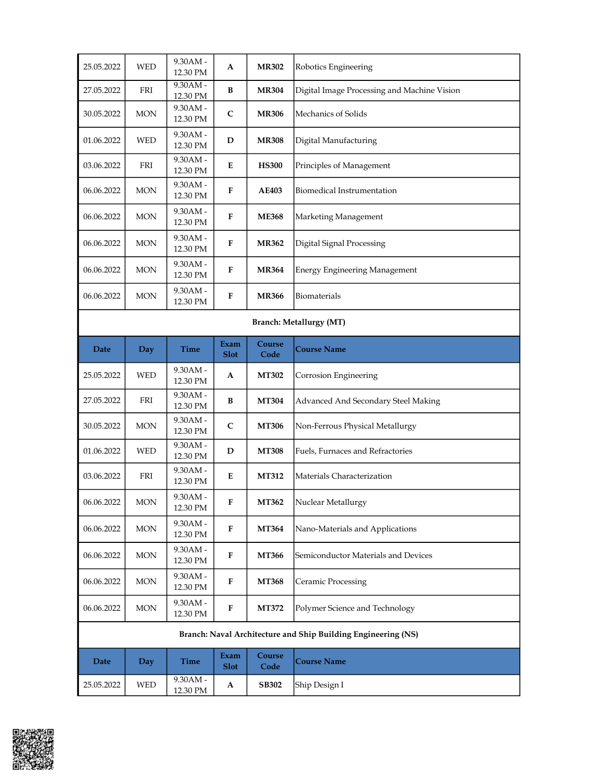| 25.05.2022                     | <b>WED</b> | 9.30AM -<br>12.30 PM   | A                   | <b>MR302</b>   | Robotics Engineering                                          |  |
|--------------------------------|------------|------------------------|---------------------|----------------|---------------------------------------------------------------|--|
| 27.05.2022                     | FRI        | 9.30AM -<br>12.30 PM   | B                   | <b>MR304</b>   | Digital Image Processing and Machine Vision                   |  |
| 30.05.2022                     | <b>MON</b> | $9.30AM -$<br>12.30 PM | C                   | <b>MR306</b>   | Mechanics of Solids                                           |  |
| 01.06.2022                     | WED        | 9.30AM -<br>12.30 PM   | D                   | <b>MR308</b>   | Digital Manufacturing                                         |  |
| 03.06.2022                     | FRI        | 9.30AM -<br>12.30 PM   | E                   | <b>HS300</b>   | Principles of Management                                      |  |
| 06.06.2022                     | <b>MON</b> | 9.30AM -<br>12.30 PM   | F                   | <b>AE403</b>   | Biomedical Instrumentation                                    |  |
| 06.06.2022                     | <b>MON</b> | 9.30AM -<br>12.30 PM   | F                   | <b>ME368</b>   | Marketing Management                                          |  |
| 06.06.2022                     | <b>MON</b> | 9.30AM -<br>12.30 PM   | $\mathbf{F}$        | <b>MR362</b>   | Digital Signal Processing                                     |  |
| 06.06.2022                     | MON        | 9.30AM -<br>12.30 PM   | F                   | <b>MR364</b>   | <b>Energy Engineering Management</b>                          |  |
| 06.06.2022                     | <b>MON</b> | 9.30AM -<br>12.30 PM   | F                   | <b>MR366</b>   | Biomaterials                                                  |  |
| <b>Branch: Metallurgy (MT)</b> |            |                        |                     |                |                                                               |  |
| Date                           | <b>Day</b> | Time                   | Exam<br><b>Slot</b> | Course<br>Code | <b>Course Name</b>                                            |  |
| 25.05.2022                     | <b>WED</b> | 9.30AM -<br>12.30 PM   | A                   | <b>MT302</b>   | Corrosion Engineering                                         |  |
| 27.05.2022                     | FRI        | 9.30AM -<br>12.30 PM   | B                   | <b>MT304</b>   | Advanced And Secondary Steel Making                           |  |
| 30.05.2022                     | <b>MON</b> | 9.30AM -<br>12.30 PM   | C                   | <b>MT306</b>   | Non-Ferrous Physical Metallurgy                               |  |
| 01.06.2022                     | <b>WED</b> | 9.30AM -<br>12.30 PM   | D                   | <b>MT308</b>   | Fuels, Furnaces and Refractories                              |  |
| 03.06.2022                     | FRI        | 9.30AM -<br>12.30 PM   | E                   | <b>MT312</b>   | Materials Characterization                                    |  |
| 06.06.2022                     | $\rm{MON}$ | 9.30AM -<br>12.30 PM   | ${\bf F}$           | MT362          | Nuclear Metallurgy                                            |  |
| 06.06.2022                     | $\rm{MON}$ | 9.30AM -<br>12.30 PM   | F                   | <b>MT364</b>   | Nano-Materials and Applications                               |  |
| 06.06.2022                     | <b>MON</b> | 9.30AM -<br>12.30 PM   | F                   | <b>MT366</b>   | Semiconductor Materials and Devices                           |  |
| 06.06.2022                     | <b>MON</b> | 9.30AM -<br>12.30 PM   | ${\bf F}$           | <b>MT368</b>   | Ceramic Processing                                            |  |
|                                |            |                        |                     |                |                                                               |  |
| 06.06.2022                     | <b>MON</b> | 9.30AM -<br>12.30 PM   | ${\bf F}$           | MT372          | Polymer Science and Technology                                |  |
|                                |            |                        |                     |                | Branch: Naval Architecture and Ship Building Engineering (NS) |  |
| Date                           | Day        | Time                   | Exam<br><b>Slot</b> | Course<br>Code | <b>Course Name</b>                                            |  |

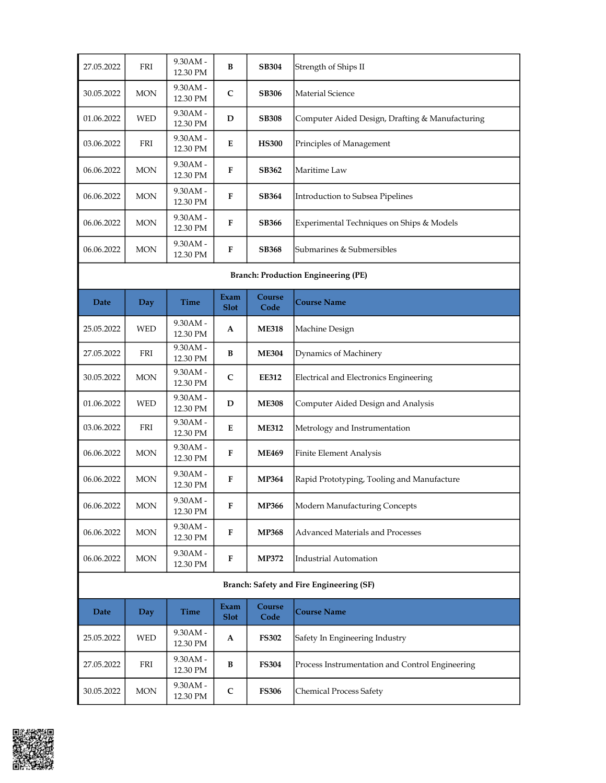| 27.05.2022                                 | FRI        | $9.30AM -$<br>12.30 PM | B                   | <b>SB304</b>   | Strength of Ships II                            |
|--------------------------------------------|------------|------------------------|---------------------|----------------|-------------------------------------------------|
| 30.05.2022                                 | <b>MON</b> | $9.30AM -$<br>12.30 PM | $\mathsf{C}$        | <b>SB306</b>   | Material Science                                |
| 01.06.2022                                 | <b>WED</b> | $9.30AM -$<br>12.30 PM | D                   | <b>SB308</b>   | Computer Aided Design, Drafting & Manufacturing |
| 03.06.2022                                 | FRI        | $9.30AM -$<br>12.30 PM | E                   | <b>HS300</b>   | Principles of Management                        |
| 06.06.2022                                 | <b>MON</b> | $9.30AM -$<br>12.30 PM | F                   | <b>SB362</b>   | Maritime Law                                    |
| 06.06.2022                                 | <b>MON</b> | $9.30AM -$<br>12.30 PM | F                   | <b>SB364</b>   | Introduction to Subsea Pipelines                |
| 06.06.2022                                 | <b>MON</b> | 9.30AM -<br>12.30 PM   | F                   | <b>SB366</b>   | Experimental Techniques on Ships & Models       |
| 06.06.2022                                 | <b>MON</b> | 9.30AM -<br>12.30 PM   | F                   | <b>SB368</b>   | Submarines & Submersibles                       |
| <b>Branch: Production Engineering (PE)</b> |            |                        |                     |                |                                                 |
|                                            |            |                        |                     |                |                                                 |
| Date                                       | <b>Day</b> | Time                   | Exam<br><b>Slot</b> | Course<br>Code | Course Name                                     |
| 25.05.2022                                 | <b>WED</b> | $9.30AM -$<br>12.30 PM | A                   | <b>ME318</b>   | Machine Design                                  |
| 27.05.2022                                 | <b>FRI</b> | $9.30AM -$<br>12.30 PM | B                   | <b>ME304</b>   | Dynamics of Machinery                           |
| 30.05.2022                                 | <b>MON</b> | $9.30AM -$<br>12.30 PM | $\mathsf{C}$        | <b>EE312</b>   | Electrical and Electronics Engineering          |
| 01.06.2022                                 | WED        | $9.30AM -$<br>12.30 PM | D                   | <b>ME308</b>   | Computer Aided Design and Analysis              |
| 03.06.2022                                 | FRI        | $9.30AM -$<br>12.30 PM | E                   | <b>ME312</b>   | Metrology and Instrumentation                   |
| 06.06.2022                                 | <b>MON</b> | $9.30AM -$<br>12.30 PM | F                   | <b>ME469</b>   | Finite Element Analysis                         |
| 06.06.2022                                 | <b>MON</b> | $9.30AM -$<br>12.30 PM | F                   | <b>MP364</b>   | Rapid Prototyping, Tooling and Manufacture      |

|                                          |            | $12.501 \text{ N}$     |                     |                |                                          |  |
|------------------------------------------|------------|------------------------|---------------------|----------------|------------------------------------------|--|
| 06.06.2022                               | <b>MON</b> | $9.30AM -$<br>12.30 PM | F                   | <b>MP368</b>   | <b>IAdvanced Materials and Processes</b> |  |
| 06.06.2022                               | <b>MON</b> | $9.30AM -$<br>12.30 PM | F                   | <b>MP372</b>   | Industrial Automation                    |  |
| Branch: Safety and Fire Engineering (SF) |            |                        |                     |                |                                          |  |
| Date                                     | Day        | <b>Time</b>            | Exam<br><b>Slot</b> | Course<br>Code | Course Name                              |  |

| Date       | Day        | <b>Time</b>            | Exam<br><b>Slot</b> | Course<br>Code | <b> Course Name</b>                             |
|------------|------------|------------------------|---------------------|----------------|-------------------------------------------------|
| 25.05.2022 | <b>WED</b> | $9.30AM -$<br>12.30 PM | A                   | <b>FS302</b>   | Safety In Engineering Industry                  |
| 27.05.2022 | FRI        | $9.30AM -$<br>12.30 PM | B                   | <b>FS304</b>   | Process Instrumentation and Control Engineering |
| 30.05.2022 | <b>MON</b> | $9.30AM -$<br>12.30 PM | $\mathsf{C}$        | <b>FS306</b>   | Chemical Process Safety                         |